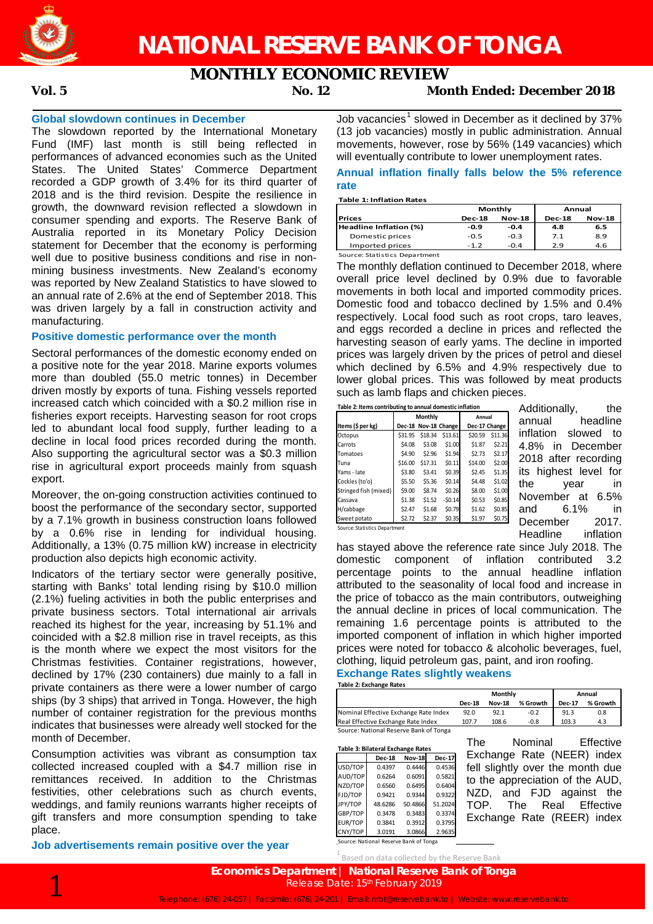

**MONTHLY ECONOMIC REVIEW**

# **Vol. 5 No. 12 Month Ended: December 2018**

## **Global slowdown continues in December**

The slowdown reported by the International Monetary Fund (IMF) last month is still being reflected in performances of advanced economies such as the United States. The United States' Commerce Department recorded a GDP growth of 3.4% for its third quarter of 2018 and is the third revision. Despite the resilience in growth, the downward revision reflected a slowdown in consumer spending and exports. The Reserve Bank of Australia reported in its Monetary Policy Decision statement for December that the economy is performing well due to positive business conditions and rise in nonmining business investments. New Zealand's economy was reported by New Zealand Statistics to have slowed to an annual rate of 2.6% at the end of September 2018. This was driven largely by a fall in construction activity and manufacturing.

# **Positive domestic performance over the month**

Sectoral performances of the domestic economy ended on a positive note for the year 2018. Marine exports volumes more than doubled (55.0 metric tonnes) in December driven mostly by exports of tuna. Fishing vessels reported increased catch which coincided with a \$0.2 million rise in fisheries export receipts. Harvesting season for root crops led to abundant local food supply, further leading to a decline in local food prices recorded during the month. Also supporting the agricultural sector was a \$0.3 million rise in agricultural export proceeds mainly from squash export.

Moreover, the on-going construction activities continued to boost the performance of the secondary sector, supported by a 7.1% growth in business construction loans followed by a 0.6% rise in lending for individual housing. Additionally, a 13% (0.75 million kW) increase in electricity production also depicts high economic activity.

Indicators of the tertiary sector were generally positive, starting with Banks' total lending rising by \$10.0 million (2.1%) fueling activities in both the public enterprises and private business sectors. Total international air arrivals reached its highest for the year, increasing by 51.1% and coincided with a \$2.8 million rise in travel receipts, as this is the month where we expect the most visitors for the Christmas festivities. Container registrations, however, declined by 17% (230 containers) due mainly to a fall in private containers as there were a lower number of cargo ships (by 3 ships) that arrived in Tonga. However, the high number of container registration for the previous months indicates that businesses were already well stocked for the month of December.

Consumption activities was vibrant as consumption tax collected increased coupled with a \$4.7 million rise in remittances received. In addition to the Christmas festivities, other celebrations such as church events, weddings, and family reunions warrants higher receipts of gift transfers and more consumption spending to take place.

**Job advertisements remain positive over the year**

Job vacancies<sup>1</sup> slowed in December as it declined by 37% (13 job vacancies) mostly in public administration. Annual movements, however, rose by 56% (149 vacancies) which will eventually contribute to lower unemployment rates.

# **Annual inflation finally falls below the 5% reference rate**

**Table 1: Inflation Rates**

**Prices Dec-18 Nov-18 Dec-18 Nov-18 Headline Inflation (%) -0.9 -0.4 4.8 6.5** Domestic prices -0.5 -0.3 7.1 8.9<br>1 1 2 9 46<br>2 9 46 Imported prices Source: Statistics Department **Monthly Annual**

The monthly deflation continued to December 2018, where overall price level declined by 0.9% due to favorable movements in both local and imported commodity prices. Domestic food and tobacco declined by 1.5% and 0.4% respectively. Local food such as root crops, taro leaves, and eggs recorded a decline in prices and reflected the harvesting season of early yams. The decline in imported prices was largely driven by the prices of petrol and diesel which declined by 6.5% and 4.9% respectively due to lower global prices. This was followed by meat products such as lamb flaps and chicken pieces.

| Table 2: Items contributing to annual domestic inflation |        |         |                                                                           |                                                                      |  |  |  |  |
|----------------------------------------------------------|--------|---------|---------------------------------------------------------------------------|----------------------------------------------------------------------|--|--|--|--|
|                                                          |        | Annual  |                                                                           |                                                                      |  |  |  |  |
|                                                          |        |         |                                                                           | Dec-17 Change                                                        |  |  |  |  |
| \$31.95                                                  |        | \$13.61 | \$20.59                                                                   | \$11.36                                                              |  |  |  |  |
| \$4.08                                                   | \$3.08 |         | \$1.87                                                                    | \$2.21                                                               |  |  |  |  |
| \$4.90                                                   |        |         | \$2.73                                                                    | \$2.17                                                               |  |  |  |  |
| \$16.00                                                  |        | \$0.11  | \$14.00                                                                   | \$2.00                                                               |  |  |  |  |
| \$3.80                                                   | \$3.41 |         | \$2.45                                                                    | \$1.35                                                               |  |  |  |  |
| \$5.50                                                   |        | \$0.14  | \$4.48                                                                    | \$1.02                                                               |  |  |  |  |
| \$9.00                                                   | \$8.74 |         | \$8.00                                                                    | \$1.00                                                               |  |  |  |  |
| \$1.38                                                   | \$1.52 |         | \$0.53                                                                    | \$0.85                                                               |  |  |  |  |
| \$2.47                                                   | \$1.68 |         | \$1.62                                                                    | \$0.85                                                               |  |  |  |  |
| \$2.72                                                   | \$2.37 |         | \$1.97                                                                    | \$0.75                                                               |  |  |  |  |
|                                                          |        |         | Monthly<br>Dec-18 Nov-18 Change<br>\$18.34<br>\$2.96<br>\$17.31<br>\$5.36 | \$1.00<br>\$1.94<br>\$0.39<br>\$0.26<br>$-50.14$<br>\$0.79<br>\$0.35 |  |  |  |  |

Additionally, the annual headline inflation slowed to 4.8% in December 2018 after recording its highest level for the year in November at 6.5% and 6.1% in December 2017. Headline inflation

Source: Statistics Department

has stayed above the reference rate since July 2018. The domestic component of inflation contributed 3.2 percentage points to the annual headline inflation attributed to the seasonality of local food and increase in the price of tobacco as the main contributors, outweighing the annual decline in prices of local communication. The remaining 1.6 percentage points is attributed to the imported component of inflation in which higher imported prices were noted for tobacco & alcoholic beverages, fuel, clothing, liquid petroleum gas, paint, and iron roofing. **Exchange Rates slightly weakens**

**Table 2: Exchange Rates**

|                                        | Monthly       |               |          | Annual        |          |  |
|----------------------------------------|---------------|---------------|----------|---------------|----------|--|
|                                        | <b>Dec-18</b> | <b>Nov-18</b> | % Growth | <b>Dec-17</b> | % Growth |  |
| Nominal Effective Exchange Rate Index  | 92.0          | 92.1          | $-0.2$   | 91.3          | 0.8      |  |
| Real Effective Exchange Rate Index     | 107.7         | 108.6         | $-0.8$   | 103.3         | 4.3      |  |
| Source: National Reserve Bank of Tonga |               |               |          |               |          |  |

**Table 3: Bilateral Exchange Rates Dec-18 Nov-18 Dec-17**<br>0.4397 0.4446 0.4536 USD/TOP 0.4397 0.4446 0.4536<br>AUD/TOP 0.6264 0.6091 0.5821 AUD/TOP 0.6264 0.6091 0.5821<br>NZD/TOP 0.6560 0.6495 0.6404 NZD/TOP FJD/TOP 0.9421 0.9344 0.9322 JPY/TOP 48.6286 50.4866 51.2024 0.3478 0.3483 0.3374<br>0.3841 0.3912 0.3795 EUR/TOP 0.3841 0.3912 0.3795 CNY/TOP

The Nominal Effective Exchange Rate (NEER) index fell slightly over the month due to the appreciation of the AUD, NZD, and FJD against the TOP. The Real Effective Exchange Rate (REER) index

 $\frac{1}{1}$ Source: National Reserve Bank of Tonga

 $^1$  Based on data collected by the Reserve Bank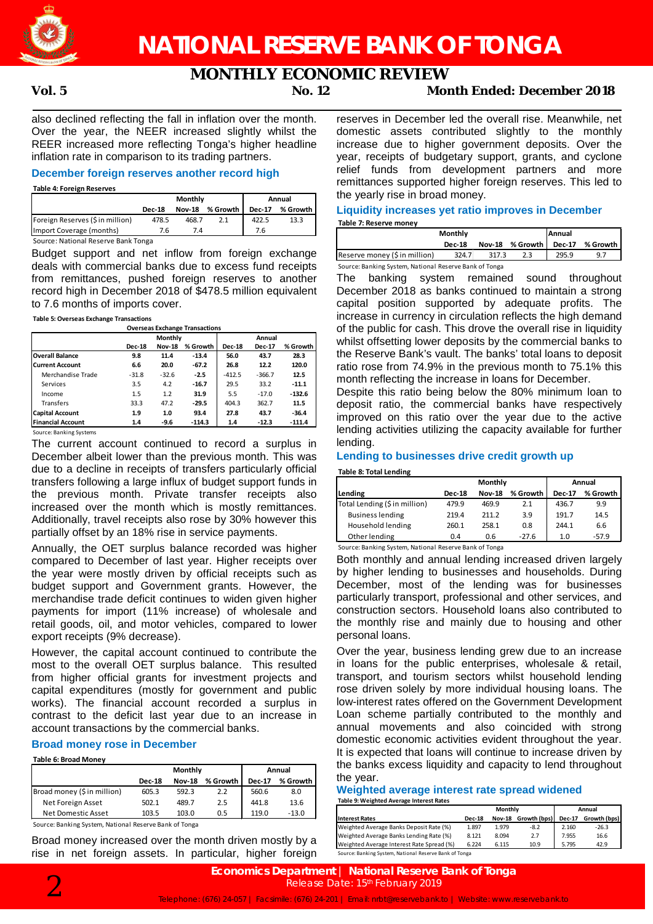

# **MONTHLY ECONOMIC REVIEW**

# **Vol. 5 No. 12 Month Ended: December 2018**

also declined reflecting the fall in inflation over the month. Over the year, the NEER increased slightly whilst the REER increased more reflecting Tonga's higher headline inflation rate in comparison to its trading partners.

# **December foreign reserves another record high**

**Table 4: Foreign Reserves**

|                                     |               | Monthly       | Annual   |               |          |
|-------------------------------------|---------------|---------------|----------|---------------|----------|
|                                     | <b>Dec-18</b> | <b>Nov-18</b> | % Growth | <b>Dec-17</b> | % Growth |
| Foreign Reserves (\$ in million)    | 478.5         | 468.7         | 2.1      | 422.5         | 13.3     |
| Import Coverage (months)            | 7.6           | 7.4           |          | 7.6           |          |
| Source: National Reserve Bank Tonga |               |               |          |               |          |

Budget support and net inflow from foreign exchange deals with commercial banks due to excess fund receipts from remittances, pushed foreign reserves to another record high in December 2018 of \$478.5 million equivalent to 7.6 months of imports cover.

### **Table 5: Overseas Exchange Transactions**

| <b>Overseas Exchange Transactions</b> |               |               |          |               |               |          |  |
|---------------------------------------|---------------|---------------|----------|---------------|---------------|----------|--|
|                                       |               | Monthly       |          |               | Annual        |          |  |
|                                       | <b>Dec-18</b> | <b>Nov-18</b> | % Growth | <b>Dec-18</b> | <b>Dec-17</b> | % Growth |  |
| <b>Overall Balance</b>                | 9.8           | 11.4          | $-13.4$  | 56.0          | 43.7          | 28.3     |  |
| Current Account                       | 6.6           | 20.0          | $-67.2$  | 26.8          | 12.2          | 120.0    |  |
| Merchandise Trade                     | $-31.8$       | $-32.6$       | $-2.5$   | $-412.5$      | $-366.7$      | 12.5     |  |
| Services                              | 3.5           | 4.2           | $-16.7$  | 29.5          | 33.2          | $-11.1$  |  |
| Income                                | 1.5           | 1.2           | 31.9     | 5.5           | $-17.0$       | $-132.6$ |  |
| <b>Transfers</b>                      | 33.3          | 47.2          | $-29.5$  | 404.3         | 362.7         | 11.5     |  |
| <b>Capital Account</b>                | 1.9           | 1.0           | 93.4     | 27.8          | 43.7          | $-36.4$  |  |
| <b>Financial Account</b>              | 1.4           | $-9.6$        | $-114.3$ | 1.4           | $-12.3$       | $-111.4$ |  |

Source: Banking Systems

The current account continued to record a surplus in December albeit lower than the previous month. This was due to a decline in receipts of transfers particularly official transfers following a large influx of budget support funds in the previous month. Private transfer receipts also increased over the month which is mostly remittances. Additionally, travel receipts also rose by 30% however this partially offset by an 18% rise in service payments.

Annually, the OET surplus balance recorded was higher compared to December of last year. Higher receipts over the year were mostly driven by official receipts such as budget support and Government grants. However, the merchandise trade deficit continues to widen given higher payments for import (11% increase) of wholesale and retail goods, oil, and motor vehicles, compared to lower export receipts (9% decrease).

However, the capital account continued to contribute the most to the overall OET surplus balance. This resulted from higher official grants for investment projects and capital expenditures (mostly for government and public works). The financial account recorded a surplus in contrast to the deficit last year due to an increase in account transactions by the commercial banks.

# **Broad money rose in December**

#### **Table 6: Broad Money**

|                                                           | Monthly       |               |          | Annual        |          |  |
|-----------------------------------------------------------|---------------|---------------|----------|---------------|----------|--|
|                                                           | <b>Dec-18</b> | <b>Nov-18</b> | % Growth | <b>Dec-17</b> | % Growth |  |
| Broad money (\$ in million)                               | 605.3         | 592.3         | 2.2      | 560.6         | 8.0      |  |
| Net Foreign Asset                                         | 502.1         | 489.7         | 2.5      | 441.8         | 13.6     |  |
| Net Domestic Asset                                        | 103.5         | 103.0         | 0.5      | 119.0         | $-13.0$  |  |
| Carrosar Danillon Crotone, National Desamo Danil of Tange |               |               |          |               |          |  |

Source: Banking System, National Reserve Bank of Tonga

Broad money increased over the month driven mostly by a rise in net foreign assets. In particular, higher foreign

reserves in December led the overall rise. Meanwhile, net domestic assets contributed slightly to the monthly increase due to higher government deposits. Over the year, receipts of budgetary support, grants, and cyclone relief funds from development partners and more remittances supported higher foreign reserves. This led to the yearly rise in broad money.

#### **Liquidity increases yet ratio improves in December Table 7: Reserve money**

|                                                        | Monthly       |       |                 | <b>Annual</b> |            |  |  |
|--------------------------------------------------------|---------------|-------|-----------------|---------------|------------|--|--|
|                                                        | <b>Dec-18</b> |       | Nov-18 % Growth | <b>Dec-17</b> | % Growth I |  |  |
| Reserve money (\$ in million)                          | 324.7         | 317.3 | 2.3             | 295.9         | 9.7        |  |  |
| Source: Banking System, National Reserve Bank of Tonga |               |       |                 |               |            |  |  |

The banking system remained sound throughout December 2018 as banks continued to maintain a strong capital position supported by adequate profits. The increase in currency in circulation reflects the high demand of the public for cash. This drove the overall rise in liquidity whilst offsetting lower deposits by the commercial banks to the Reserve Bank's vault. The banks' total loans to deposit ratio rose from 74.9% in the previous month to 75.1% this month reflecting the increase in loans for December.

Despite this ratio being below the 80% minimum loan to deposit ratio, the commercial banks have respectively improved on this ratio over the year due to the active lending activities utilizing the capacity available for further lending.

# **Lending to businesses drive credit growth up**

#### **Table 8: Total Lending**

|                               |               | Monthly       | Annual   |               |          |
|-------------------------------|---------------|---------------|----------|---------------|----------|
| Lending                       | <b>Dec-18</b> | <b>Nov-18</b> | % Growth | <b>Dec-17</b> | % Growth |
| Total Lending (\$ in million) | 479.9         | 469.9         | 2.1      | 436.7         | 9.9      |
| <b>Business lending</b>       | 219.4         | 211.2         | 3.9      | 191.7         | 14.5     |
| Household lending             | 260.1         | 258.1         | 0.8      | 244.1         | 6.6      |
| Other lending                 | 0.4           | 0.6           | $-27.6$  | 1.0           | $-57.9$  |
| _  _ .                        | $\sim$ $\sim$ | _ _ _         |          |               |          |

Source: Banking System, National Reserve Bank of Tonga

Both monthly and annual lending increased driven largely by higher lending to businesses and households. During December, most of the lending was for businesses particularly transport, professional and other services, and construction sectors. Household loans also contributed to the monthly rise and mainly due to housing and other personal loans.

Over the year, business lending grew due to an increase in loans for the public enterprises, wholesale & retail, transport, and tourism sectors whilst household lending rose driven solely by more individual housing loans. The low-interest rates offered on the Government Development Loan scheme partially contributed to the monthly and annual movements and also coincided with strong domestic economic activities evident throughout the year. It is expected that loans will continue to increase driven by the banks excess liquidity and capacity to lend throughout the year.

### **Weighted average interest rate spread widened Table 9: Weighted Average Interest Rates**

|                                                        | Monthly       |               |              | Annual        |              |  |  |
|--------------------------------------------------------|---------------|---------------|--------------|---------------|--------------|--|--|
| <b>Interest Rates</b>                                  | <b>Dec-18</b> | <b>Nov-18</b> | Growth (bps) | <b>Dec-17</b> | Growth (bps) |  |  |
| Weighted Average Banks Deposit Rate (%)                | 1.897         | 1.979         | $-8.2$       | 2.160         | $-26.3$      |  |  |
| Weighted Average Banks Lending Rate (%)                | 8.121         | 8.094         | 2.7          | 7.955         | 16.6         |  |  |
| Weighted Average Interest Rate Spread (%)              | 6.224         | 6.115         | 10.9         | 5.795         | 42.9         |  |  |
| Source: Banking System, National Reserve Bank of Tonga |               |               |              |               |              |  |  |

**Economics Department | National Reserve Bank of Tonga**<br>Release Date: 15<sup>th</sup> February 2019<br>Telephone: (676) 24-057 | Facsimile: (676) 24-201 | Email: nrbt@reservebank.to | Website: www.reservebank.to Release Date: 15<sup>th</sup> February 2019